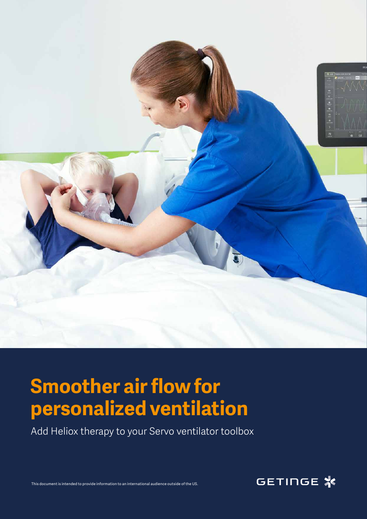

# **Smoother air flow for personalized ventilation**

Add Heliox therapy to your Servo ventilator toolbox

This document is intended to provide information to an international audience outside of the US.

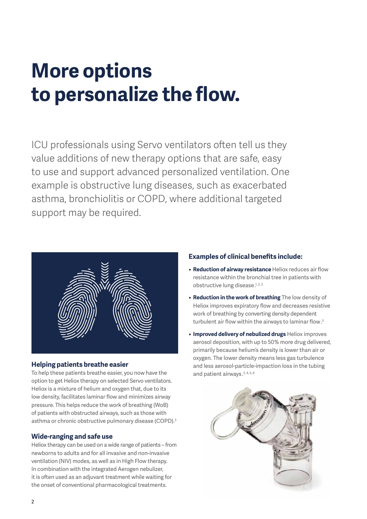# **More options to personalize the flow.**

ICU professionals using Servo ventilators often tell us they value additions of new therapy options that are safe, easy to use and support advanced personalized ventilation. One example is obstructive lung diseases, such as exacerbated asthma, bronchiolitis or COPD, where additional targeted support may be required.



# **Helping patients breathe easier**

To help these patients breathe easier, you now have the option to get Heliox therapy on selected Servo ventilators. Heliox is a mixture of helium and oxygen that, due to its low density, facilitates laminar flow and minimizes airway pressure. This helps reduce the work of breathing (WoB) of patients with obstructed airways, such as those with asthma or chronic obstructive pulmonary disease (COPD).<sup>3</sup>

# **Wide-ranging and safe use**

Heliox therapy can be used on a wide range of patients – from newborns to adults and for all invasive and non-invasive ventilation (NIV) modes, as well as in High Flow therapy. In combination with the integrated Aerogen nebulizer, it is often used as an adjuvant treatment while waiting for the onset of conventional pharmacological treatments.

# **Examples of clinical benefits include:**

- **Reduction of airway resistance** Heliox reduces air flow resistance within the bronchial tree in patients with obstructive lung disease.<sup>1, 2, 3</sup>
- **Reduction in the work of breathing** The low density of Heliox improves expiratory flow and decreases resistive work of breathing by converting density dependent turbulent air flow within the airways to laminar flow.<sup>3</sup>
- **Improved delivery of nebulized drugs** Heliox improves aerosol deposition, with up to 50% more drug delivered, primarily because helium's density is lower than air or oxygen. The lower density means less gas turbulence and less aerosol-particle-impaction loss in the tubing and patient airways.<sup>2, 4, 5, 6</sup>

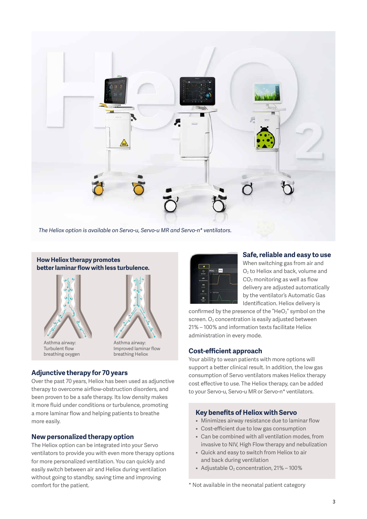

*The Heliox option is available on Servo-u, Servo-u MR and Servo-n\* ventilators.*



# **Adjunctive therapy for 70 years**

Over the past 70 years, Heliox has been used as adjunctive therapy to overcome airflow-obstruction disorders, and been proven to be a safe therapy. Its low density makes it more fluid under conditions or turbulence, promoting a more laminar flow and helping patients to breathe more easily.

# **New personalized therapy option**

The Heliox option can be integrated into your Servo ventilators to provide you with even more therapy options for more personalized ventilation. You can quickly and easily switch between air and Heliox during ventilation without going to standby, saving time and improving comfort for the patient.



#### **Safe, reliable and easy to use**

When switching gas from air and O2 to Heliox and back, volume and CO<sub>2</sub> monitoring as well as flow delivery are adjusted automatically by the ventilator's Automatic Gas Identification. Heliox delivery is

confirmed by the presence of the "HeO $2$ " symbol on the screen. O<sub>2</sub> concentration is easily adjusted between 21% – 100% and information texts facilitate Heliox administration in every mode.

#### **Cost-efficient approach**

Your ability to wean patients with more options will support a better clinical result. In addition, the low gas consumption of Servo ventilators makes Heliox therapy cost effective to use. The Heliox therapy, can be added to your Servo-u, Servo-u MR or Servo-n\* ventilators.

#### **Key benefits of Heliox with Servo**

- Minimizes airway resistance due to laminar flow
- Cost-efficient due to low gas consumption
- Can be combined with all ventilation modes, from invasive to NIV, High Flow therapy and nebulization
- Quick and easy to switch from Heliox to air and back during ventilation
- Adjustable  $O_2$  concentration, 21% 100%

\* Not available in the neonatal patient category